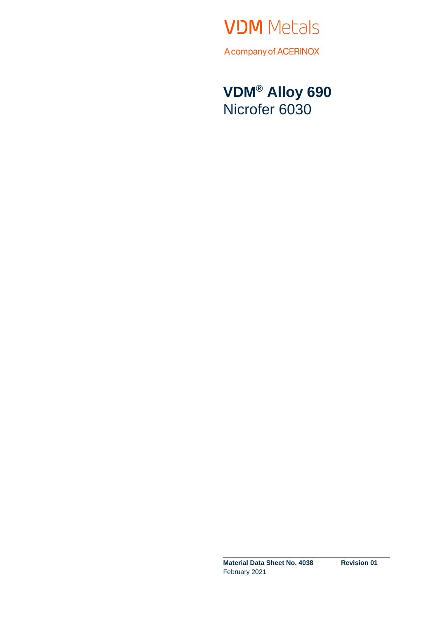

**VDM® Alloy 690** Nicrofer 6030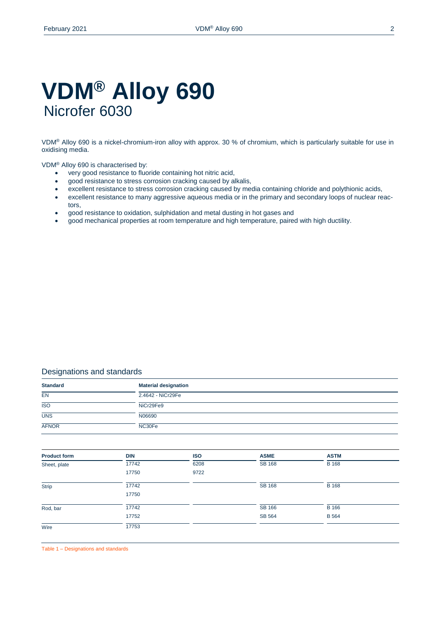# **VDM® Alloy 690** Nicrofer 6030

VDM® Alloy 690 is a nickel-chromium-iron alloy with approx. 30 % of chromium, which is particularly suitable for use in oxidising media.

## VDM® Alloy 690 is characterised by:

- very good resistance to fluoride containing hot nitric acid,
- good resistance to stress corrosion cracking caused by alkalis,
- excellent resistance to stress corrosion cracking caused by media containing chloride and polythionic acids,
- excellent resistance to many aggressive aqueous media or in the primary and secondary loops of nuclear reactors,
- good resistance to oxidation, sulphidation and metal dusting in hot gases and
- good mechanical properties at room temperature and high temperature, paired with high ductility.

# Designations and standards

| <b>Standard</b>  | <b>Material designation</b> |
|------------------|-----------------------------|
| <b>EN</b>        | 2.4642 - NiCr29Fe           |
| $\overline{ISO}$ | NiCr29Fe9                   |
| <b>UNS</b>       | N06690                      |
| <b>AFNOR</b>     | NC30Fe                      |

| <b>Product form</b> | <b>DIN</b> | <b>ISO</b> | <b>ASME</b>   | <b>ASTM</b>  |  |
|---------------------|------------|------------|---------------|--------------|--|
| Sheet, plate        | 17742      | 6208       | <b>SB 168</b> | <b>B</b> 168 |  |
|                     | 17750      | 9722       |               |              |  |
| Strip               | 17742      |            | <b>SB 168</b> | <b>B</b> 168 |  |
|                     | 17750      |            |               |              |  |
| Rod, bar            | 17742      |            | <b>SB 166</b> | B 166        |  |
|                     | 17752      |            | SB 564        | <b>B</b> 564 |  |
| Wire                | 17753      |            |               |              |  |

Table 1 – Designations and standards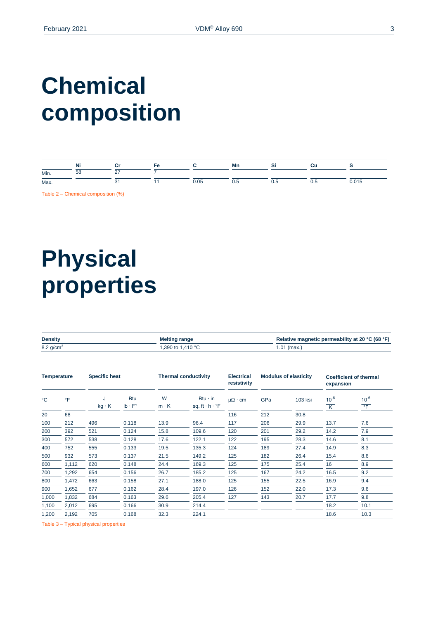# **Chemical composition**

|      | ΝF |             |      | Mr                      |     |     |                  |
|------|----|-------------|------|-------------------------|-----|-----|------------------|
| Min. | 58 | $\sim$<br>- |      |                         |     |     |                  |
| Max. |    |             | 0.05 | $\mathsf{v}.\mathsf{v}$ | 0.5 | υ.υ | በ በ15<br>0.0 I U |

Table 2 – Chemical composition (%)

# **Physical properties**

| <b>Density</b>          | <b>Melting range</b> | Relative magnetic permeability at 20 °C (68 °F) |  |  |
|-------------------------|----------------------|-------------------------------------------------|--|--|
| $8.2$ g/cm <sup>3</sup> | 1,390 to 1,410 °C    | $1.01$ (max.)                                   |  |  |
|                         |                      |                                                 |  |  |
|                         |                      |                                                 |  |  |
|                         |                      |                                                 |  |  |

| <b>Specific heat</b><br><b>Temperature</b> |           |              |                                                                 | <b>Thermal conductivity</b> | <b>Electrical</b><br>resistivity                     |                      | <b>Modulus of elasticity</b> | expansion | <b>Coefficient of thermal</b> |                                |
|--------------------------------------------|-----------|--------------|-----------------------------------------------------------------|-----------------------------|------------------------------------------------------|----------------------|------------------------------|-----------|-------------------------------|--------------------------------|
| °C                                         | $\circ$ F | $kg \cdot K$ | <b>Btu</b><br>$\overline{\mathsf{lb} \cdot \mathsf{F}^{\circ}}$ | W<br>$\overline{m \cdot K}$ | $Btu \cdot in$<br>sq. ft $\cdot h \cdot {}^{\circ}F$ | $\mu\Omega \cdot cm$ | GPa                          | 103 ksi   | $10^{-6}$<br>K                | $10^{-6}$<br>$\overline{\ }$ F |
| 20                                         | 68        |              |                                                                 |                             |                                                      | 116                  | 212                          | 30.8      |                               |                                |
| 100                                        | 212       | 496          | 0.118                                                           | 13.9                        | 96.4                                                 | 117                  | 206                          | 29.9      | 13.7                          | 7.6                            |
| 200                                        | 392       | 521          | 0.124                                                           | 15.8                        | 109.6                                                | 120                  | 201                          | 29.2      | 14.2                          | 7.9                            |
| 300                                        | 572       | 538          | 0.128                                                           | 17.6                        | 122.1                                                | 122                  | 195                          | 28.3      | 14.6                          | 8.1                            |
| 400                                        | 752       | 555          | 0.133                                                           | 19.5                        | 135.3                                                | 124                  | 189                          | 27.4      | 14.9                          | 8.3                            |
| 500                                        | 932       | 573          | 0.137                                                           | 21.5                        | 149.2                                                | 125                  | 182                          | 26.4      | 15.4                          | 8.6                            |
| 600                                        | 1,112     | 620          | 0.148                                                           | 24.4                        | 169.3                                                | 125                  | 175                          | 25.4      | 16                            | 8.9                            |
| 700                                        | 1,292     | 654          | 0.156                                                           | 26.7                        | 185.2                                                | 125                  | 167                          | 24.2      | 16.5                          | 9.2                            |
| 800                                        | 1,472     | 663          | 0.158                                                           | 27.1                        | 188.0                                                | 125                  | 155                          | 22.5      | 16.9                          | 9.4                            |
| 900                                        | 1,652     | 677          | 0.162                                                           | 28.4                        | 197.0                                                | 126                  | 152                          | 22.0      | 17.3                          | 9.6                            |
| 1,000                                      | 1,832     | 684          | 0.163                                                           | 29.6                        | 205.4                                                | 127                  | 143                          | 20.7      | 17.7                          | 9.8                            |
| 1,100                                      | 2,012     | 695          | 0.166                                                           | 30.9                        | 214.4                                                |                      |                              |           | 18.2                          | 10.1                           |
| 1,200                                      | 2,192     | 705          | 0.168                                                           | 32.3                        | 224.1                                                |                      |                              |           | 18.6                          | 10.3                           |

Table 3 – Typical physical properties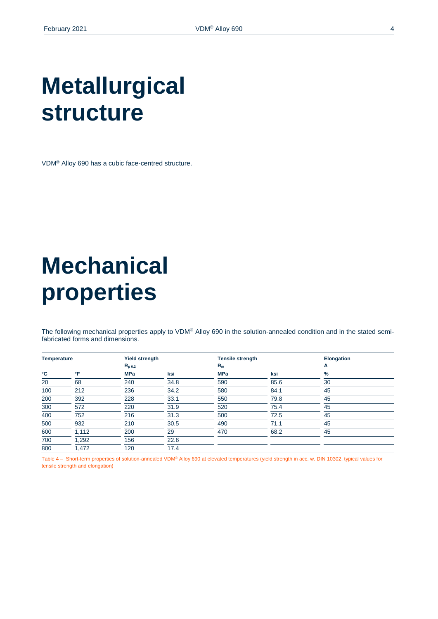# **Metallurgical structure**

VDM® Alloy 690 has a cubic face-centred structure.

# **Mechanical properties**

The following mechanical properties apply to VDM® Alloy 690 in the solution-annealed condition and in the stated semifabricated forms and dimensions.

| <b>Temperature</b> |       | <b>Yield strength</b> |      | <b>Tensile strength</b> |      | <b>Elongation</b> |
|--------------------|-------|-----------------------|------|-------------------------|------|-------------------|
|                    |       | $R_{p0.2}$            |      | $R_m$                   |      | A                 |
| °C                 | °F    | <b>MPa</b>            | ksi  | <b>MPa</b>              | ksi  | %                 |
| 20                 | 68    | 240                   | 34.8 | 590                     | 85.6 | 30                |
| 100                | 212   | 236                   | 34.2 | 580                     | 84.1 | 45                |
| 200                | 392   | 228                   | 33.1 | 550                     | 79.8 | 45                |
| 300                | 572   | 220                   | 31.9 | 520                     | 75.4 | 45                |
| 400                | 752   | 216                   | 31.3 | 500                     | 72.5 | 45                |
| 500                | 932   | 210                   | 30.5 | 490                     | 71.1 | 45                |
| 600                | 1,112 | 200                   | 29   | 470                     | 68.2 | 45                |
| 700                | 1,292 | 156                   | 22.6 |                         |      |                   |
| 800                | .472  | 120                   | 17.4 |                         |      |                   |

Table 4 – Short-term properties of solution-annealed VDM® Alloy 690 at elevated temperatures (yield strength in acc. w. DIN 10302, typical values for tensile strength and elongation)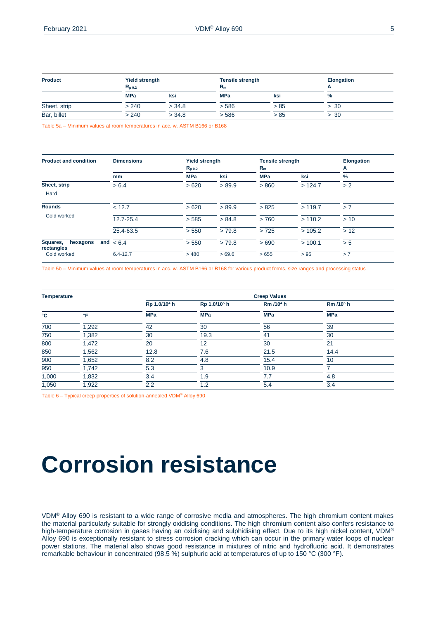| <b>Product</b> | <b>Yield strength</b><br>$R_{\text{D}0.2}$ |        | <b>Tensile strength</b><br>$R_{m}$ |      | Elongation |
|----------------|--------------------------------------------|--------|------------------------------------|------|------------|
|                | <b>MPa</b>                                 | ksi    | <b>MPa</b>                         | ksi  | $\%$       |
| Sheet, strip   | > 240                                      | > 34.8 | > 586                              | > 85 | > 30       |
| Bar, billet    | > 240                                      | > 34.8 | > 586                              | > 85 | > 30       |

Table 5a – Minimum values at room temperatures in acc. w. ASTM B166 or B168

| <b>Product and condition</b>              | <b>Dimensions</b> | <b>Yield strength</b><br>$R_{p,0.2}$ |        | <b>Tensile strength</b><br>$R_m$ |         | Elongation<br>A |
|-------------------------------------------|-------------------|--------------------------------------|--------|----------------------------------|---------|-----------------|
|                                           | mm                | <b>MPa</b>                           | ksi    | <b>MPa</b>                       | ksi     | $\%$            |
| Sheet, strip                              | > 6.4             | >620                                 | > 89.9 | > 860                            | >124.7  | > 2             |
| Hard                                      |                   |                                      |        |                                  |         |                 |
| <b>Rounds</b>                             | < 12.7            | >620                                 | > 89.9 | > 825                            | >119.7  | > 7             |
| Cold worked                               | 12.7-25.4         | > 585                                | > 84.8 | >760                             | > 110.2 | > 10            |
|                                           | 25.4-63.5         | > 550                                | >79.8  | >725                             | >105.2  | > 12            |
| Squares,<br>hexagons<br>and<br>rectangles | < 6.4             | > 550                                | >79.8  | >690                             | >100.1  | > 5             |
| Cold worked                               | $6.4 - 12.7$      | >480                                 | >69.6  | >655                             | > 95    | > 7             |

Table 5b – Minimum values at room temperatures in acc. w. ASTM B166 or B168 for various product forms, size ranges and processing status

| <b>Temperature</b> |       |                          |                          | <b>Creep Values</b>   |                       |
|--------------------|-------|--------------------------|--------------------------|-----------------------|-----------------------|
|                    |       | Rp 1.0/10 <sup>4</sup> h | Rp 1.0/10 <sup>5</sup> h | Rm /10 <sup>4</sup> h | Rm /10 <sup>5</sup> h |
| °C                 | °F    | <b>MPa</b>               | <b>MPa</b>               | <b>MPa</b>            | <b>MPa</b>            |
| 700                | 1,292 | 42                       | 30                       | 56                    | 39                    |
| 750                | 1,382 | 30                       | 19.3                     | 41                    | 30                    |
| 800                | 1,472 | 20                       | 12                       | 30                    | 21                    |
| 850                | 1,562 | 12.8                     | 7.6                      | 21.5                  | 14.4                  |
| 900                | 1,652 | 8.2                      | 4.8                      | 15.4                  | 10                    |
| 950                | 1,742 | 5.3                      | 3                        | 10.9                  |                       |
| 1,000              | 1,832 | 3.4                      | 1.9                      | 7.7                   | 4.8                   |
| 1,050              | 1,922 | 2.2                      | 1.2                      | 5.4                   | 3.4                   |

Table 6 – Typical creep properties of solution-annealed VDM® Alloy 690

# **Corrosion resistance**

VDM® Alloy 690 is resistant to a wide range of corrosive media and atmospheres. The high chromium content makes the material particularly suitable for strongly oxidising conditions. The high chromium content also confers resistance to high-temperature corrosion in gases having an oxidising and sulphidising effect. Due to its high nickel content, VDM® Alloy 690 is exceptionally resistant to stress corrosion cracking which can occur in the primary water loops of nuclear power stations. The material also shows good resistance in mixtures of nitric and hydrofluoric acid. It demonstrates remarkable behaviour in concentrated (98.5 %) sulphuric acid at temperatures of up to 150 °C (300 °F).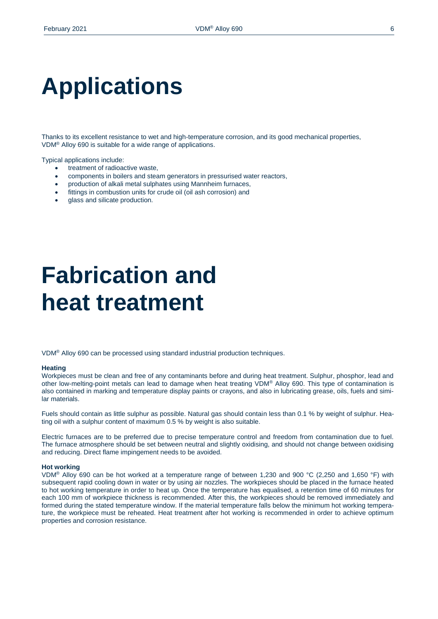# **Applications**

Thanks to its excellent resistance to wet and high-temperature corrosion, and its good mechanical properties, VDM® Alloy 690 is suitable for a wide range of applications.

Typical applications include:

- treatment of radioactive waste,
- components in boilers and steam generators in pressurised water reactors,
- production of alkali metal sulphates using Mannheim furnaces,
- fittings in combustion units for crude oil (oil ash corrosion) and
- glass and silicate production.

# **Fabrication and heat treatment**

VDM® Alloy 690 can be processed using standard industrial production techniques.

#### **Heating**

Workpieces must be clean and free of any contaminants before and during heat treatment. Sulphur, phosphor, lead and other low-melting-point metals can lead to damage when heat treating VDM® Alloy 690. This type of contamination is also contained in marking and temperature display paints or crayons, and also in lubricating grease, oils, fuels and similar materials.

Fuels should contain as little sulphur as possible. Natural gas should contain less than 0.1 % by weight of sulphur. Heating oil with a sulphur content of maximum 0.5 % by weight is also suitable.

Electric furnaces are to be preferred due to precise temperature control and freedom from contamination due to fuel. The furnace atmosphere should be set between neutral and slightly oxidising, and should not change between oxidising and reducing. Direct flame impingement needs to be avoided.

#### **Hot working**

VDM® Alloy 690 can be hot worked at a temperature range of between 1,230 and 900 °C (2,250 and 1,650 °F) with subsequent rapid cooling down in water or by using air nozzles. The workpieces should be placed in the furnace heated to hot working temperature in order to heat up. Once the temperature has equalised, a retention time of 60 minutes for each 100 mm of workpiece thickness is recommended. After this, the workpieces should be removed immediately and formed during the stated temperature window. If the material temperature falls below the minimum hot working temperature, the workpiece must be reheated. Heat treatment after hot working is recommended in order to achieve optimum properties and corrosion resistance.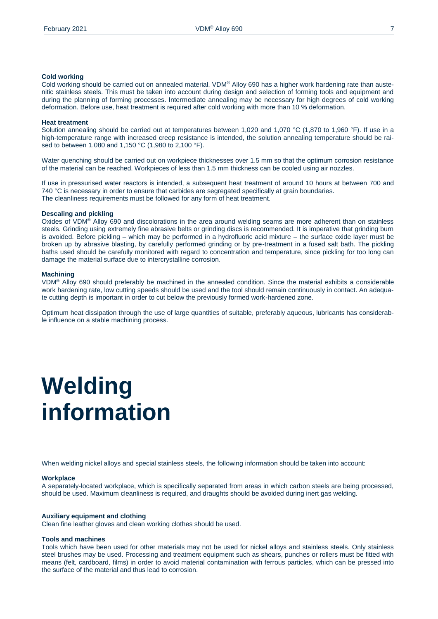### **Cold working**

Cold working should be carried out on annealed material. VDM® Alloy 690 has a higher work hardening rate than austenitic stainless steels. This must be taken into account during design and selection of forming tools and equipment and during the planning of forming processes. Intermediate annealing may be necessary for high degrees of cold working deformation. Before use, heat treatment is required after cold working with more than 10 % deformation.

#### **Heat treatment**

Solution annealing should be carried out at temperatures between 1,020 and 1,070 °C (1,870 to 1,960 °F). If use in a high-temperature range with increased creep resistance is intended, the solution annealing temperature should be raised to between 1,080 and 1,150 °C (1,980 to 2,100 °F).

Water quenching should be carried out on workpiece thicknesses over 1.5 mm so that the optimum corrosion resistance of the material can be reached. Workpieces of less than 1.5 mm thickness can be cooled using air nozzles.

If use in pressurised water reactors is intended, a subsequent heat treatment of around 10 hours at between 700 and 740 °C is necessary in order to ensure that carbides are segregated specifically at grain boundaries. The cleanliness requirements must be followed for any form of heat treatment.

#### **Descaling and pickling**

Oxides of VDM® Alloy 690 and discolorations in the area around welding seams are more adherent than on stainless steels. Grinding using extremely fine abrasive belts or grinding discs is recommended. It is imperative that grinding burn is avoided. Before pickling – which may be performed in a hydrofluoric acid mixture – the surface oxide layer must be broken up by abrasive blasting, by carefully performed grinding or by pre-treatment in a fused salt bath. The pickling baths used should be carefully monitored with regard to concentration and temperature, since pickling for too long can damage the material surface due to intercrystalline corrosion.

#### **Machining**

VDM® Alloy 690 should preferably be machined in the annealed condition. Since the material exhibits a considerable work hardening rate, low cutting speeds should be used and the tool should remain continuously in contact. An adequate cutting depth is important in order to cut below the previously formed work-hardened zone.

Optimum heat dissipation through the use of large quantities of suitable, preferably aqueous, lubricants has considerable influence on a stable machining process.

# **Welding information**

When welding nickel alloys and special stainless steels, the following information should be taken into account:

#### **Workplace**

A separately-located workplace, which is specifically separated from areas in which carbon steels are being processed, should be used. Maximum cleanliness is required, and draughts should be avoided during inert gas welding.

#### **Auxiliary equipment and clothing**

Clean fine leather gloves and clean working clothes should be used.

#### **Tools and machines**

Tools which have been used for other materials may not be used for nickel alloys and stainless steels. Only stainless steel brushes may be used. Processing and treatment equipment such as shears, punches or rollers must be fitted with means (felt, cardboard, films) in order to avoid material contamination with ferrous particles, which can be pressed into the surface of the material and thus lead to corrosion.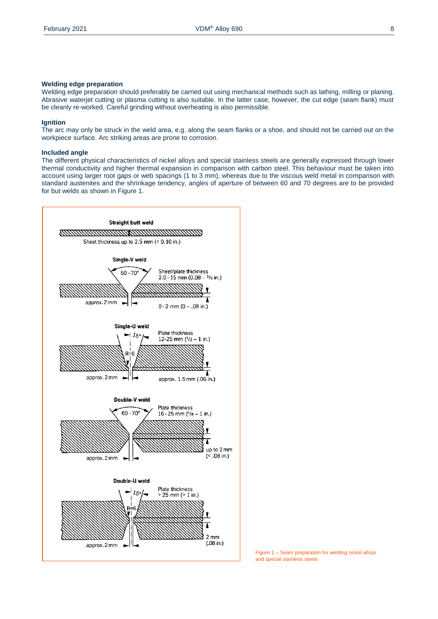### **Welding edge preparation**

Welding edge preparation should preferably be carried out using mechanical methods such as lathing, milling or planing. Abrasive waterjet cutting or plasma cutting is also suitable. In the latter case, however, the cut edge (seam flank) must be cleanly re-worked. Careful grinding without overheating is also permissible.

## **Ignition**

The arc may only be struck in the weld area, e.g. along the seam flanks or a shoe, and should not be carried out on the workpiece surface. Arc striking areas are prone to corrosion.

### **Included angle**

The different physical characteristics of nickel alloys and special stainless steels are generally expressed through lower thermal conductivity and higher thermal expansion in comparison with carbon steel. This behaviour must be taken into account using larger root gaps or web spacings (1 to 3 mm), whereas due to the viscous weld metal in comparison with standard austenites and the shrinkage tendency, angles of aperture of between 60 and 70 degrees are to be provided for but welds as shown in Figure 1.



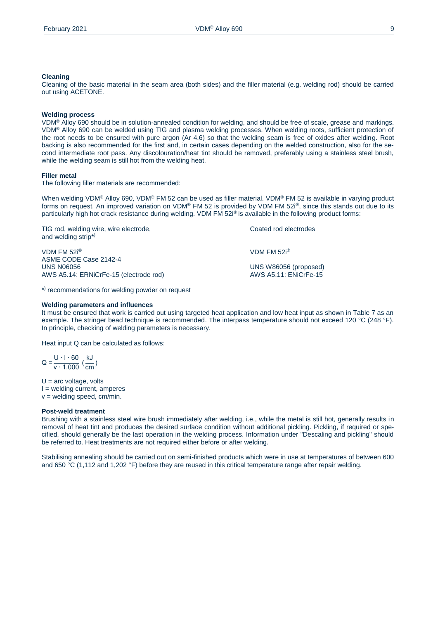### **Cleaning**

Cleaning of the basic material in the seam area (both sides) and the filler material (e.g. welding rod) should be carried out using ACETONE.

#### **Welding process**

VDM® Alloy 690 should be in solution-annealed condition for welding, and should be free of scale, grease and markings. VDM® Alloy 690 can be welded using TIG and plasma welding processes. When welding roots, sufficient protection of the root needs to be ensured with pure argon (Ar 4.6) so that the welding seam is free of oxides after welding. Root backing is also recommended for the first and, in certain cases depending on the welded construction, also for the second intermediate root pass. Any discolouration/heat tint should be removed, preferably using a stainless steel brush, while the welding seam is still hot from the welding heat.

### **Filler metal**

The following filler materials are recommended:

When welding VDM® Alloy 690, VDM® FM 52 can be used as filler material. VDM® FM 52 is available in varving product forms on request. An improved variation on VDM® FM 52 is provided by VDM FM 52<sup>i®</sup>, since this stands out due to its particularly high hot crack resistance during welding. VDM FM 52i® is available in the following product forms:

TIG rod, welding wire, wire electrode, TIG rod, Coated rod electrodes and welding strip\*)

VDM FM 52i® VDM FM 52i® ASME CODE Case 2142-4 AWS A5.14: ERNiCrFe-15 (electrode rod) AWS A5.11: ENiCrFe-15

\* ) recommendations for welding powder on request

#### **Welding parameters and influences**

It must be ensured that work is carried out using targeted heat application and low heat input as shown in Table 7 as an example. The stringer bead technique is recommended. The interpass temperature should not exceed 120 °C (248 °F). In principle, checking of welding parameters is necessary.

UNS N06056 UNS W86056 (proposed)

Heat input Q can be calculated as follows:

 $Q = \frac{U \cdot 1 \cdot 60}{v \cdot 1.000} (\frac{kJ}{cm})$  $\frac{1}{\text{cm}}$ )

 $U = arc$  voltage, volts I = welding current, amperes  $v =$  welding speed, cm/min.

#### **Post-weld treatment**

Brushing with a stainless steel wire brush immediately after welding, i.e., while the metal is still hot, generally results in removal of heat tint and produces the desired surface condition without additional pickling. Pickling, if required or specified, should generally be the last operation in the welding process. Information under "Descaling and pickling" should be referred to. Heat treatments are not required either before or after welding.

Stabilising annealing should be carried out on semi-finished products which were in use at temperatures of between 600 and 650 °C (1,112 and 1,202 °F) before they are reused in this critical temperature range after repair welding.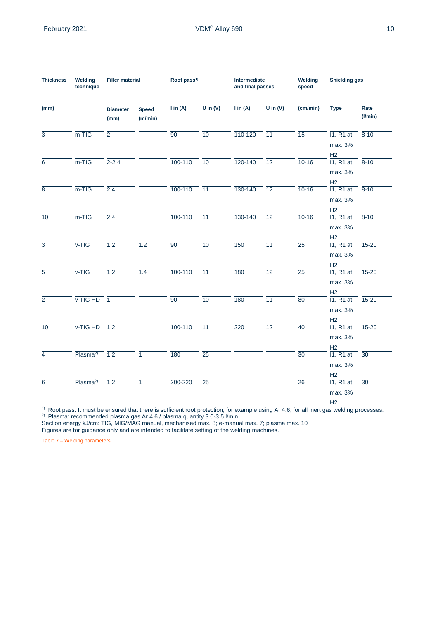| <b>Thickness</b> | Welding<br>technique       | <b>Filler material</b>  |                         | Root pass <sup>1)</sup> |                  | Intermediate<br>and final passes                                                                                                                      |                 | Welding<br>speed | <b>Shielding gas</b>                                 |                       |
|------------------|----------------------------|-------------------------|-------------------------|-------------------------|------------------|-------------------------------------------------------------------------------------------------------------------------------------------------------|-----------------|------------------|------------------------------------------------------|-----------------------|
| (mm)             |                            | <b>Diameter</b><br>(mm) | <b>Speed</b><br>(m/min) | $\mathsf{I}$ in (A)     | $U$ in $(V)$     | $\overline{I}$ in (A)                                                                                                                                 | U in $(V)$      | (cm/min)         | <b>Type</b>                                          | Rate<br>$($ I/min $)$ |
| $\overline{3}$   | $m-TIG$                    | $\overline{2}$          |                         | $\overline{90}$         | 10               | 110-120                                                                                                                                               | $\overline{11}$ | $\overline{15}$  | $11, R1$ at<br>max. 3%<br>H2                         | $8 - 10$              |
| $\overline{6}$   | $m-TIG$                    | $2 - 2.4$               |                         | $\frac{100-110}{10}$    |                  | 120-140                                                                                                                                               | $\overline{12}$ | $10 - 16$        | 11, R1 at<br>max. 3%                                 | $\frac{1}{8-10}$      |
| $\overline{8}$   | $m-TIG$                    | 2.4                     |                         | $\frac{100-110}{11}$    |                  | 130-140                                                                                                                                               | $\overline{12}$ | $10-16$          | H2<br>11, R1 at<br>max. 3%                           | $-8-10$               |
| $\overline{10}$  | $m-TIG$                    | 2.4                     |                         | $\frac{100-110}{11}$    |                  | 130-140                                                                                                                                               | $\overline{12}$ | $10 - 16$        | H2<br>11, R1 at<br>max. 3%                           | $8 - 10$              |
| $\overline{3}$   | $V-TIG$                    | 1.2                     | 1.2                     | $\overline{90}$         | $\overline{10}$  | 150                                                                                                                                                   | $\overline{11}$ | $\overline{25}$  | $\frac{H2}{11, R1}$ at<br>max. 3%<br>H2              | $15 - 20$             |
| $\overline{5}$   | $v-TIG$                    | 1.2                     | 1.4                     | $100 - 110$             | $ \overline{11}$ | 180                                                                                                                                                   | $\overline{12}$ | $\overline{25}$  | 11, R1 at<br>max. 3%<br>H <sub>2</sub>               | $\frac{1}{15-20}$     |
| $\overline{2}$   | $V-TIGHD$ 1                |                         |                         | 90                      | 10               | 180                                                                                                                                                   | $\overline{11}$ | $\overline{80}$  | 11, R1 at<br>max. 3%<br>H <sub>2</sub>               | $ \frac{15-20}{2}$    |
| $\overline{10}$  | $V-TIGHD$ 1.2              |                         |                         | $100 - 110$             | $-\frac{1}{11}$  | 220                                                                                                                                                   | 12              | $\overline{40}$  | $\overline{11, R1}$ at $\overline{15-20}$<br>max. 3% |                       |
| $\overline{4}$   | Plasma <sup>2)</sup> $1.2$ |                         | $\overline{1}$          | 180                     | $\overline{25}$  |                                                                                                                                                       |                 | $\overline{30}$  | $\frac{H2}{11, R1}$ at<br>max. 3%                    | $\overline{30}$       |
| $\overline{6}$   | Plasma <sup>2)</sup> $1.2$ |                         | $\overline{1}$          | 200-220                 | $\overline{25}$  | $\overline{1}$ Root pass: It must be ensured that there is sufficient root protection, for example using Ar 4.6, for all inert gas welding processes. |                 | $\overline{26}$  | $\frac{H2}{11, R1}$ at<br>max. 3%<br>H <sub>2</sub>  | $\overline{30}$       |

<sup>2)</sup> Plasma: recommended plasma gas Ar 4.6 / plasma quantity 3.0-3.5 l/min

Section energy kJ/cm: TIG, MIG/MAG manual, mechanised max. 8; e-manual max. 7; plasma max. 10 Figures are for guidance only and are intended to facilitate setting of the welding machines.

Table 7 – Welding parameters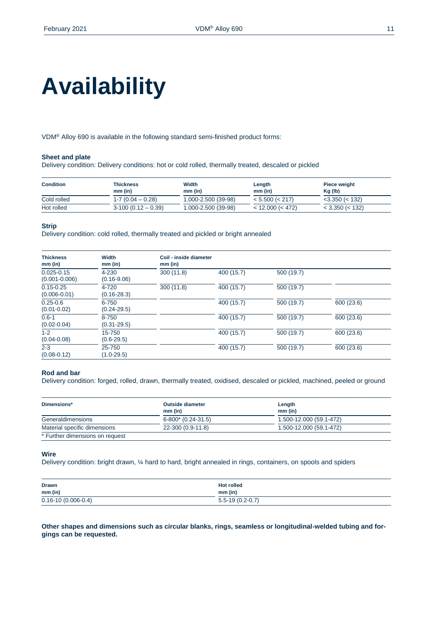# **Availability**

VDM® Alloy 690 is available in the following standard semi-finished product forms:

## **Sheet and plate**

Delivery condition: Delivery conditions: hot or cold rolled, thermally treated, descaled or pickled

| <b>Condition</b> | <b>Thickness</b><br>$mm$ (in) | Width<br>$mm$ (in)  | Length<br>$mm$ (in)   | <b>Piece weight</b><br>$Kq$ (lb) |
|------------------|-------------------------------|---------------------|-----------------------|----------------------------------|
| Cold rolled      | $1 - 7$ (0.04 $-$ 0.28)       | 1.000-2.500 (39-98) | < 5.500 (< 217)       | $<$ 3.350 ( $<$ 132)             |
| Hot rolled       | $3-100(0.12-0.39)$            | 1.000-2.500 (39-98) | $<$ 12.000 ( $<$ 472) | $<$ 3.350 ( $<$ 132)             |

### **Strip**

Delivery condition: cold rolled, thermally treated and pickled or bright annealed

| <b>Thickness</b><br>$mm$ (in)       | Width<br>$mm$ (in)           | Coil - inside diameter<br>$mm$ (in) |            |            |            |
|-------------------------------------|------------------------------|-------------------------------------|------------|------------|------------|
| $0.025 - 0.15$<br>$(0.001 - 0.006)$ | 4-230<br>$(0.16 - 9.06)$     | 300(11.8)                           | 400 (15.7) | 500 (19.7) |            |
| $0.15 - 0.25$<br>$(0.006 - 0.01)$   | 4-720<br>$(0.16 - 28.3)$     | 300(11.8)                           | 400 (15.7) | 500 (19.7) |            |
| $0.25 - 0.6$<br>$(0.01 - 0.02)$     | $6 - 750$<br>$(0.24 - 29.5)$ |                                     | 400 (15.7) | 500 (19.7) | 600 (23.6) |
| $0.6 - 1$<br>$(0.02 - 0.04)$        | 8-750<br>$(0.31 - 29.5)$     |                                     | 400 (15.7) | 500 (19.7) | 600 (23.6) |
| $1 - 2$<br>$(0.04 - 0.08)$          | 15-750<br>$(0.6 - 29.5)$     |                                     | 400 (15.7) | 500 (19.7) | 600 (23.6) |
| $2 - 3$<br>$(0.08 - 0.12)$          | 25-750<br>$(1.0 - 29.5)$     |                                     | 400 (15.7) | 500 (19.7) | 600 (23.6) |

#### **Rod and bar**

Delivery condition: forged, rolled, drawn, thermally treated, oxidised, descaled or pickled, machined, peeled or ground

| Dimensions*                     | <b>Outside diameter</b><br>$mm$ (in) | Length<br>$mm$ (in)     |
|---------------------------------|--------------------------------------|-------------------------|
| Generaldimensions               | $6-800*(0.24-31.5)$                  | 1.500-12.000 (59.1-472) |
| Material specific dimensions    | 22-300 (0.9-11.8)                    | 1.500-12.000 (59.1-472) |
| * Further dimensions on request |                                      |                         |

### **Wire**

Delivery condition: bright drawn, ¼ hard to hard, bright annealed in rings, containers, on spools and spiders

| <b>Drawn</b>             | <b>Hot rolled</b>     |
|--------------------------|-----------------------|
| $mm$ (in)                | $mm$ (in)             |
| $0.16 - 10(0.006 - 0.4)$ | $5.5 - 19(0.2 - 0.7)$ |

**Other shapes and dimensions such as circular blanks, rings, seamless or longitudinal-welded tubing and forgings can be requested.**